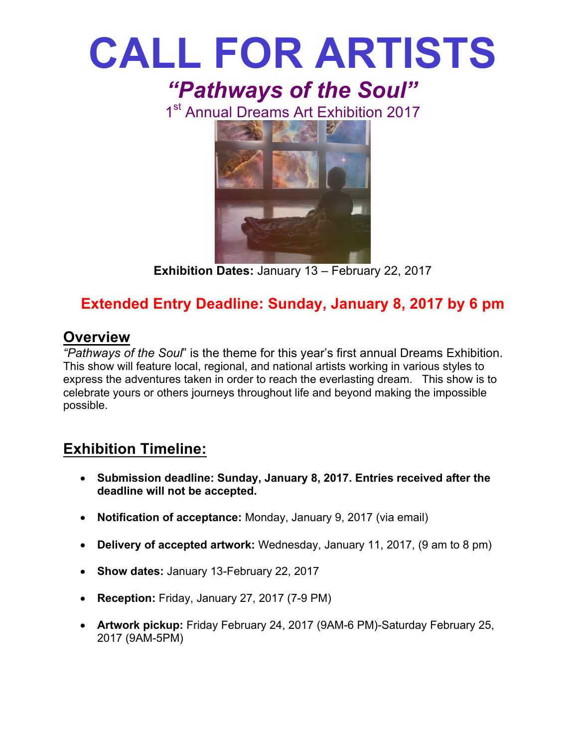

**Exhibition Dates:** January 13 – February 22, 2017

## **Extended Entry Deadline: Sunday, January 8, 2017 by 6 pm**

### **Overview**

*"Pathways of the Soul*" is the theme for this year's first annual Dreams Exhibition. This show will feature local, regional, and national artists working in various styles to express the adventures taken in order to reach the everlasting dream. This show is to celebrate yours or others journeys throughout life and beyond making the impossible possible.

## **Exhibition Timeline:**

- **Submission deadline: Sunday, January 8, 2017. Entries received after the deadline will not be accepted.**
- **Notification of acceptance:** Monday, January 9, 2017 (via email)
- **Delivery of accepted artwork:** Wednesday, January 11, 2017, (9 am to 8 pm)
- **Show dates:** January 13-February 22, 2017
- **Reception:** Friday, January 27, 2017 (7-9 PM)
- **Artwork pickup:** Friday February 24, 2017 (9AM-6 PM)-Saturday February 25, 2017 (9AM-5PM)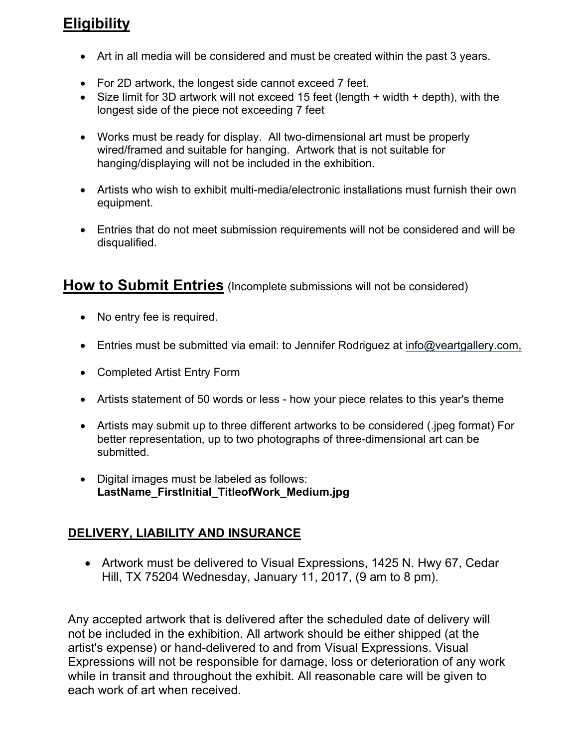## **Eligibility**

- Art in all media will be considered and must be created within the past 3 years.
- For 2D artwork, the longest side cannot exceed 7 feet.
- Size limit for 3D artwork will not exceed 15 feet (length + width + depth), with the longest side of the piece not exceeding 7 feet
- Works must be ready for display. All two-dimensional art must be properly wired/framed and suitable for hanging. Artwork that is not suitable for hanging/displaying will not be included in the exhibition.
- Artists who wish to exhibit multi-media/electronic installations must furnish their own equipment.
- Entries that do not meet submission requirements will not be considered and will be disqualified.

#### **How to Submit Entries** (Incomplete submissions will not be considered)

- No entry fee is required.
- Entries must be submitted via email: to Jennifer Rodriguez at info@veartgallery.com,
- Completed Artist Entry Form
- Artists statement of 50 words or less how your piece relates to this year's theme
- Artists may submit up to three different artworks to be considered (.jpeg format) For better representation, up to two photographs of three-dimensional art can be submitted.
- Digital images must be labeled as follows: **LastName\_FirstInitial\_TitleofWork\_Medium.jpg**

#### **DELIVERY, LIABILITY AND INSURANCE**

• Artwork must be delivered to Visual Expressions, 1425 N. Hwy 67, Cedar Hill, TX 75204 Wednesday, January 11, 2017, (9 am to 8 pm).

Any accepted artwork that is delivered after the scheduled date of delivery will not be included in the exhibition. All artwork should be either shipped (at the artist's expense) or hand-delivered to and from Visual Expressions. Visual Expressions will not be responsible for damage, loss or deterioration of any work while in transit and throughout the exhibit. All reasonable care will be given to each work of art when received.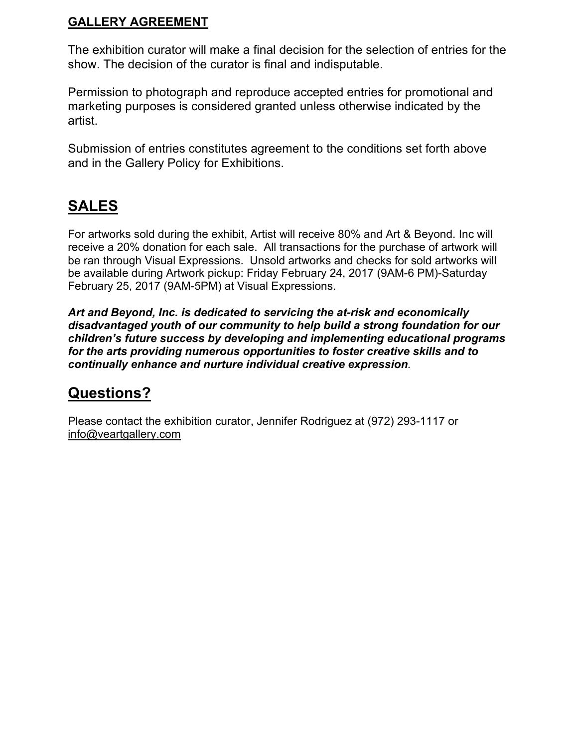#### **GALLERY AGREEMENT**

The exhibition curator will make a final decision for the selection of entries for the show. The decision of the curator is final and indisputable.

Permission to photograph and reproduce accepted entries for promotional and marketing purposes is considered granted unless otherwise indicated by the artist.

Submission of entries constitutes agreement to the conditions set forth above and in the Gallery Policy for Exhibitions.

## **SALES**

For artworks sold during the exhibit, Artist will receive 80% and Art & Beyond. Inc will receive a 20% donation for each sale. All transactions for the purchase of artwork will be ran through Visual Expressions. Unsold artworks and checks for sold artworks will be available during Artwork pickup: Friday February 24, 2017 (9AM-6 PM)-Saturday February 25, 2017 (9AM-5PM) at Visual Expressions.

*Art and Beyond, Inc. is dedicated to servicing the at-risk and economically disadvantaged youth of our community to help build a strong foundation for our children's future success by developing and implementing educational programs for the arts providing numerous opportunities to foster creative skills and to continually enhance and nurture individual creative expression.*

## **Questions?**

Please contact the exhibition curator, Jennifer Rodriguez at (972) 293-1117 or info@veartgallery.com